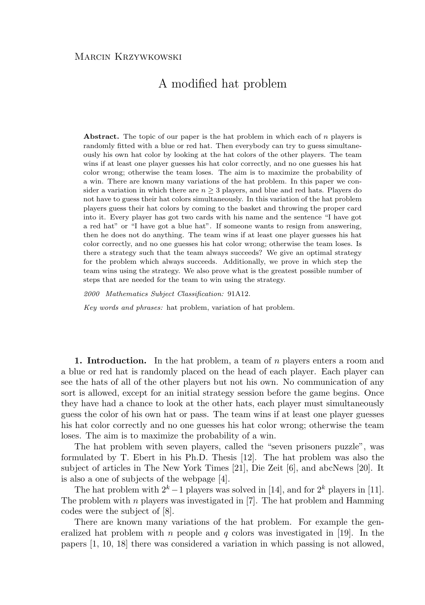## A modified hat problem

**Abstract.** The topic of our paper is the hat problem in which each of n players is randomly fitted with a blue or red hat. Then everybody can try to guess simultaneously his own hat color by looking at the hat colors of the other players. The team wins if at least one player guesses his hat color correctly, and no one guesses his hat color wrong; otherwise the team loses. The aim is to maximize the probability of a win. There are known many variations of the hat problem. In this paper we consider a variation in which there are  $n \geq 3$  players, and blue and red hats. Players do not have to guess their hat colors simultaneously. In this variation of the hat problem players guess their hat colors by coming to the basket and throwing the proper card into it. Every player has got two cards with his name and the sentence "I have got a red hat" or "I have got a blue hat". If someone wants to resign from answering, then he does not do anything. The team wins if at least one player guesses his hat color correctly, and no one guesses his hat color wrong; otherwise the team loses. Is there a strategy such that the team always succeeds? We give an optimal strategy for the problem which always succeeds. Additionally, we prove in which step the team wins using the strategy. We also prove what is the greatest possible number of steps that are needed for the team to win using the strategy.

*2000 Mathematics Subject Classification:* 91A12.

*Key words and phrases:* hat problem, variation of hat problem.

**1. Introduction.** In the hat problem, a team of n players enters a room and a blue or red hat is randomly placed on the head of each player. Each player can see the hats of all of the other players but not his own. No communication of any sort is allowed, except for an initial strategy session before the game begins. Once they have had a chance to look at the other hats, each player must simultaneously guess the color of his own hat or pass. The team wins if at least one player guesses his hat color correctly and no one guesses his hat color wrong; otherwise the team loses. The aim is to maximize the probability of a win.

The hat problem with seven players, called the "seven prisoners puzzle", was formulated by T. Ebert in his Ph.D. Thesis [12]. The hat problem was also the subject of articles in The New York Times [21], Die Zeit [6], and abcNews [20]. It is also a one of subjects of the webpage [4].

The hat problem with  $2^k - 1$  players was solved in [14], and for  $2^k$  players in [11]. The problem with  $n$  players was investigated in [7]. The hat problem and Hamming codes were the subject of [8].

There are known many variations of the hat problem. For example the generalized hat problem with n people and q colors was investigated in [19]. In the papers [1, 10, 18] there was considered a variation in which passing is not allowed,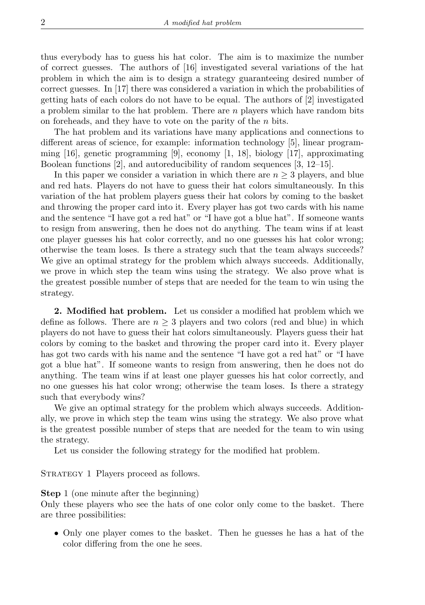thus everybody has to guess his hat color. The aim is to maximize the number of correct guesses. The authors of [16] investigated several variations of the hat problem in which the aim is to design a strategy guaranteeing desired number of correct guesses. In [17] there was considered a variation in which the probabilities of getting hats of each colors do not have to be equal. The authors of [2] investigated a problem similar to the hat problem. There are n players which have random bits on foreheads, and they have to vote on the parity of the n bits.

The hat problem and its variations have many applications and connections to different areas of science, for example: information technology [5], linear programming  $[16]$ , genetic programming  $[9]$ , economy  $[1, 18]$ , biology  $[17]$ , approximating Boolean functions [2], and autoreducibility of random sequences [3, 12–15].

In this paper we consider a variation in which there are  $n \geq 3$  players, and blue and red hats. Players do not have to guess their hat colors simultaneously. In this variation of the hat problem players guess their hat colors by coming to the basket and throwing the proper card into it. Every player has got two cards with his name and the sentence "I have got a red hat" or "I have got a blue hat". If someone wants to resign from answering, then he does not do anything. The team wins if at least one player guesses his hat color correctly, and no one guesses his hat color wrong; otherwise the team loses. Is there a strategy such that the team always succeeds? We give an optimal strategy for the problem which always succeeds. Additionally, we prove in which step the team wins using the strategy. We also prove what is the greatest possible number of steps that are needed for the team to win using the strategy.

**2. Modified hat problem.** Let us consider a modified hat problem which we define as follows. There are  $n \geq 3$  players and two colors (red and blue) in which players do not have to guess their hat colors simultaneously. Players guess their hat colors by coming to the basket and throwing the proper card into it. Every player has got two cards with his name and the sentence "I have got a red hat" or "I have got a blue hat". If someone wants to resign from answering, then he does not do anything. The team wins if at least one player guesses his hat color correctly, and no one guesses his hat color wrong; otherwise the team loses. Is there a strategy such that everybody wins?

We give an optimal strategy for the problem which always succeeds. Additionally, we prove in which step the team wins using the strategy. We also prove what is the greatest possible number of steps that are needed for the team to win using the strategy.

Let us consider the following strategy for the modified hat problem.

STRATEGY 1 Players proceed as follows.

**Step** 1 (one minute after the beginning)

Only these players who see the hats of one color only come to the basket. There are three possibilities:

• Only one player comes to the basket. Then he guesses he has a hat of the color differing from the one he sees.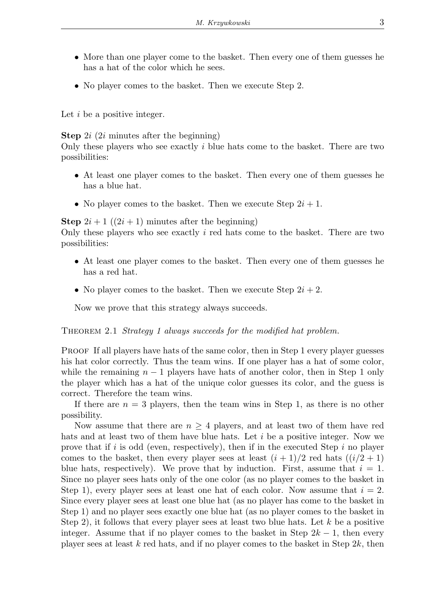- More than one player come to the basket. Then every one of them guesses he has a hat of the color which he sees.
- No player comes to the basket. Then we execute Step 2.

Let  $i$  be a positive integer.

**Step** 2*i* (2*i* minutes after the beginning)

Only these players who see exactly  $i$  blue hats come to the basket. There are two possibilities:

- At least one player comes to the basket. Then every one of them guesses he has a blue hat.
- No player comes to the basket. Then we execute Step  $2i + 1$ .

**Step**  $2i + 1$  ( $(2i + 1)$  minutes after the beginning)

Only these players who see exactly  $i$  red hats come to the basket. There are two possibilities:

- At least one player comes to the basket. Then every one of them guesses he has a red hat.
- No player comes to the basket. Then we execute Step  $2i + 2$ .

Now we prove that this strategy always succeeds.

THEOREM 2.1 *Strategy 1 always succeeds for the modified hat problem.* 

PROOF If all players have hats of the same color, then in Step 1 every player guesses his hat color correctly. Thus the team wins. If one player has a hat of some color, while the remaining  $n-1$  players have hats of another color, then in Step 1 only the player which has a hat of the unique color guesses its color, and the guess is correct. Therefore the team wins.

If there are  $n = 3$  players, then the team wins in Step 1, as there is no other possibility.

Now assume that there are  $n \geq 4$  players, and at least two of them have red hats and at least two of them have blue hats. Let i be a positive integer. Now we prove that if  $i$  is odd (even, respectively), then if in the executed Step  $i$  no player comes to the basket, then every player sees at least  $(i+1)/2$  red hats  $((i/2 + 1)$ blue hats, respectively). We prove that by induction. First, assume that  $i = 1$ . Since no player sees hats only of the one color (as no player comes to the basket in Step 1), every player sees at least one hat of each color. Now assume that  $i = 2$ . Since every player sees at least one blue hat (as no player has come to the basket in Step 1) and no player sees exactly one blue hat (as no player comes to the basket in Step 2), it follows that every player sees at least two blue hats. Let  $k$  be a positive integer. Assume that if no player comes to the basket in Step  $2k - 1$ , then every player sees at least k red hats, and if no player comes to the basket in Step  $2k$ , then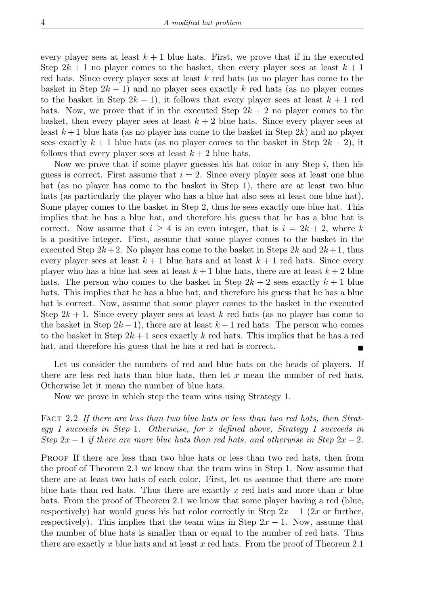every player sees at least  $k + 1$  blue hats. First, we prove that if in the executed Step  $2k + 1$  no player comes to the basket, then every player sees at least  $k + 1$ red hats. Since every player sees at least  $k$  red hats (as no player has come to the basket in Step  $2k - 1$ ) and no player sees exactly k red hats (as no player comes to the basket in Step  $2k + 1$ , it follows that every player sees at least  $k + 1$  red hats. Now, we prove that if in the executed Step  $2k + 2$  no player comes to the basket, then every player sees at least  $k + 2$  blue hats. Since every player sees at least  $k+1$  blue hats (as no player has come to the basket in Step 2k) and no player sees exactly  $k + 1$  blue hats (as no player comes to the basket in Step  $2k + 2$ ), it follows that every player sees at least  $k + 2$  blue hats.

Now we prove that if some player guesses his hat color in any Step  $i$ , then his guess is correct. First assume that  $i = 2$ . Since every player sees at least one blue hat (as no player has come to the basket in Step 1), there are at least two blue hats (as particularly the player who has a blue hat also sees at least one blue hat). Some player comes to the basket in Step 2, thus he sees exactly one blue hat. This implies that he has a blue hat, and therefore his guess that he has a blue hat is correct. Now assume that  $i \geq 4$  is an even integer, that is  $i = 2k + 2$ , where k is a positive integer. First, assume that some player comes to the basket in the executed Step  $2k+2$ . No player has come to the basket in Steps  $2k$  and  $2k+1$ , thus every player sees at least  $k+1$  blue hats and at least  $k+1$  red hats. Since every player who has a blue hat sees at least  $k+1$  blue hats, there are at least  $k+2$  blue hats. The person who comes to the basket in Step  $2k + 2$  sees exactly  $k + 1$  blue hats. This implies that he has a blue hat, and therefore his guess that he has a blue hat is correct. Now, assume that some player comes to the basket in the executed Step  $2k + 1$ . Since every player sees at least k red hats (as no player has come to the basket in Step  $2k-1$ , there are at least  $k+1$  red hats. The person who comes to the basket in Step  $2k+1$  sees exactly k red hats. This implies that he has a red hat, and therefore his guess that he has a red hat is correct.

Let us consider the numbers of red and blue hats on the heads of players. If there are less red hats than blue hats, then let  $x$  mean the number of red hats. Otherwise let it mean the number of blue hats.

Now we prove in which step the team wins using Strategy 1.

FACT 2.2 If there are less than two blue hats or less than two red hats, then Strat*egy 1 succeeds in Step* 1*. Otherwise, for* x *defined above, Strategy 1 succeeds in Step*  $2x - 1$  *if there are more blue hats than red hats, and otherwise in Step*  $2x - 2$ *.* 

PROOF If there are less than two blue hats or less than two red hats, then from the proof of Theorem 2.1 we know that the team wins in Step 1. Now assume that there are at least two hats of each color. First, let us assume that there are more blue hats than red hats. Thus there are exactly x red hats and more than x blue hats. From the proof of Theorem 2.1 we know that some player having a red (blue, respectively) hat would guess his hat color correctly in Step  $2x - 1$  (2x or further, respectively). This implies that the team wins in Step  $2x - 1$ . Now, assume that the number of blue hats is smaller than or equal to the number of red hats. Thus there are exactly x blue hats and at least x red hats. From the proof of Theorem 2.1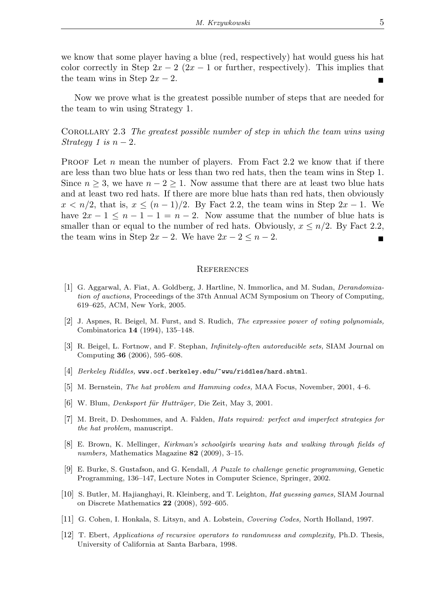we know that some player having a blue (red, respectively) hat would guess his hat color correctly in Step  $2x - 2(2x - 1)$  or further, respectively). This implies that the team wins in Step  $2x - 2$ .

Now we prove what is the greatest possible number of steps that are needed for the team to win using Strategy 1.

Corollary 2.3 *The greatest possible number of step in which the team wins using Strategy* 1 is  $n-2$ .

**PROOF** Let n mean the number of players. From Fact 2.2 we know that if there are less than two blue hats or less than two red hats, then the team wins in Step 1. Since  $n \geq 3$ , we have  $n-2 \geq 1$ . Now assume that there are at least two blue hats and at least two red hats. If there are more blue hats than red hats, then obviously  $x < n/2$ , that is,  $x \le (n-1)/2$ . By Fact 2.2, the team wins in Step  $2x - 1$ . We have  $2x - 1 \leq n - 1 - 1 = n - 2$ . Now assume that the number of blue hats is smaller than or equal to the number of red hats. Obviously,  $x \leq n/2$ . By Fact 2.2, the team wins in Step  $2x - 2$ . We have  $2x - 2 \le n - 2$ .

## **REFERENCES**

- [1] G. Aggarwal, A. Fiat, A. Goldberg, J. Hartline, N. Immorlica, and M. Sudan, *Derandomization of auctions,* Proceedings of the 37th Annual ACM Symposium on Theory of Computing, 619–625, ACM, New York, 2005.
- [2] J. Aspnes, R. Beigel, M. Furst, and S. Rudich, *The expressive power of voting polynomials,* Combinatorica **14** (1994), 135–148.
- [3] R. Beigel, L. Fortnow, and F. Stephan, *Infinitely-often autoreducible sets,* SIAM Journal on Computing **36** (2006), 595–608.
- [4] *Berkeley Riddles,* www.ocf.berkeley.edu/~wwu/riddles/hard.shtml.
- [5] M. Bernstein, *The hat problem and Hamming codes,* MAA Focus, November, 2001, 4–6.
- [6] W. Blum, *Denksport für Hutträger*, Die Zeit, May 3, 2001.
- [7] M. Breit, D. Deshommes, and A. Falden, *Hats required: perfect and imperfect strategies for the hat problem,* manuscript.
- [8] E. Brown, K. Mellinger, *Kirkman's schoolgirls wearing hats and walking through fields of numbers,* Mathematics Magazine **82** (2009), 3–15.
- [9] E. Burke, S. Gustafson, and G. Kendall, *A Puzzle to challenge genetic programming,* Genetic Programming, 136–147, Lecture Notes in Computer Science, Springer, 2002.
- [10] S. Butler, M. Hajianghayi, R. Kleinberg, and T. Leighton, *Hat guessing games,* SIAM Journal on Discrete Mathematics **22** (2008), 592–605.
- [11] G. Cohen, I. Honkala, S. Litsyn, and A. Lobstein, *Covering Codes,* North Holland, 1997.
- [12] T. Ebert, *Applications of recursive operators to randomness and complexity,* Ph.D. Thesis, University of California at Santa Barbara, 1998.